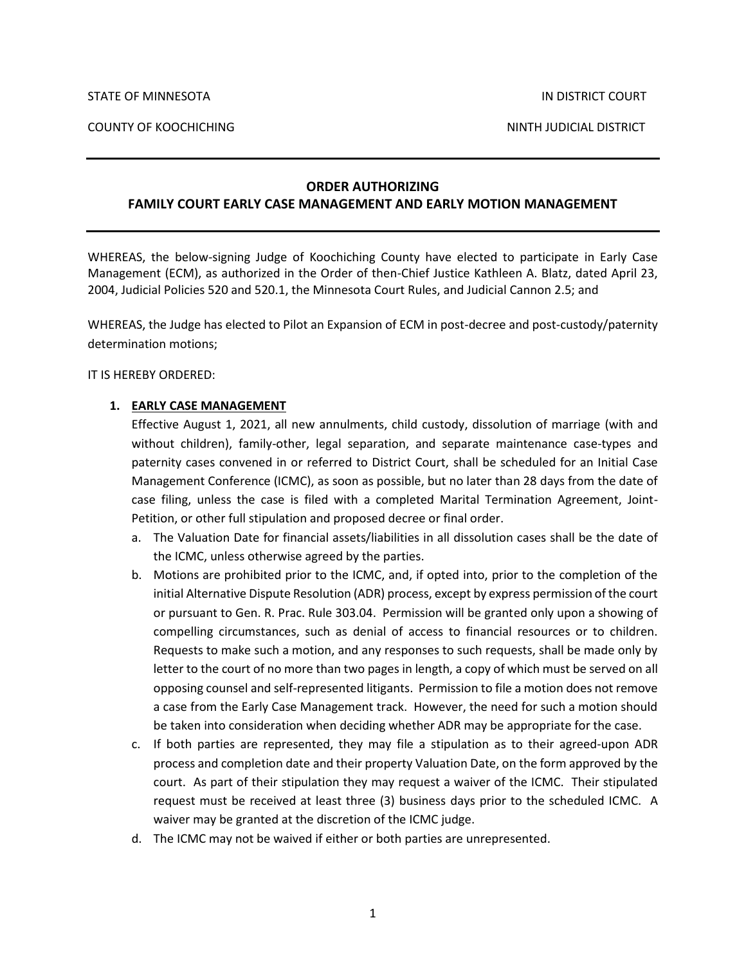COUNTY OF KOOCHICHING NINTH JUDICIAL DISTRICT

## **ORDER AUTHORIZING FAMILY COURT EARLY CASE MANAGEMENT AND EARLY MOTION MANAGEMENT**

WHEREAS, the below-signing Judge of Koochiching County have elected to participate in Early Case Management (ECM), as authorized in the Order of then-Chief Justice Kathleen A. Blatz, dated April 23, 2004, Judicial Policies 520 and 520.1, the Minnesota Court Rules, and Judicial Cannon 2.5; and

WHEREAS, the Judge has elected to Pilot an Expansion of ECM in post-decree and post-custody/paternity determination motions;

IT IS HEREBY ORDERED:

## **1. EARLY CASE MANAGEMENT**

Effective August 1, 2021, all new annulments, child custody, dissolution of marriage (with and without children), family-other, legal separation, and separate maintenance case-types and paternity cases convened in or referred to District Court, shall be scheduled for an Initial Case Management Conference (ICMC), as soon as possible, but no later than 28 days from the date of case filing, unless the case is filed with a completed Marital Termination Agreement, Joint-Petition, or other full stipulation and proposed decree or final order.

- a. The Valuation Date for financial assets/liabilities in all dissolution cases shall be the date of the ICMC, unless otherwise agreed by the parties.
- b. Motions are prohibited prior to the ICMC, and, if opted into, prior to the completion of the initial Alternative Dispute Resolution (ADR) process, except by express permission of the court or pursuant to Gen. R. Prac. Rule 303.04. Permission will be granted only upon a showing of compelling circumstances, such as denial of access to financial resources or to children. Requests to make such a motion, and any responses to such requests, shall be made only by letter to the court of no more than two pages in length, a copy of which must be served on all opposing counsel and self-represented litigants. Permission to file a motion does not remove a case from the Early Case Management track. However, the need for such a motion should be taken into consideration when deciding whether ADR may be appropriate for the case.
- c. If both parties are represented, they may file a stipulation as to their agreed-upon ADR process and completion date and their property Valuation Date, on the form approved by the court. As part of their stipulation they may request a waiver of the ICMC. Their stipulated request must be received at least three (3) business days prior to the scheduled ICMC. A waiver may be granted at the discretion of the ICMC judge.
- d. The ICMC may not be waived if either or both parties are unrepresented.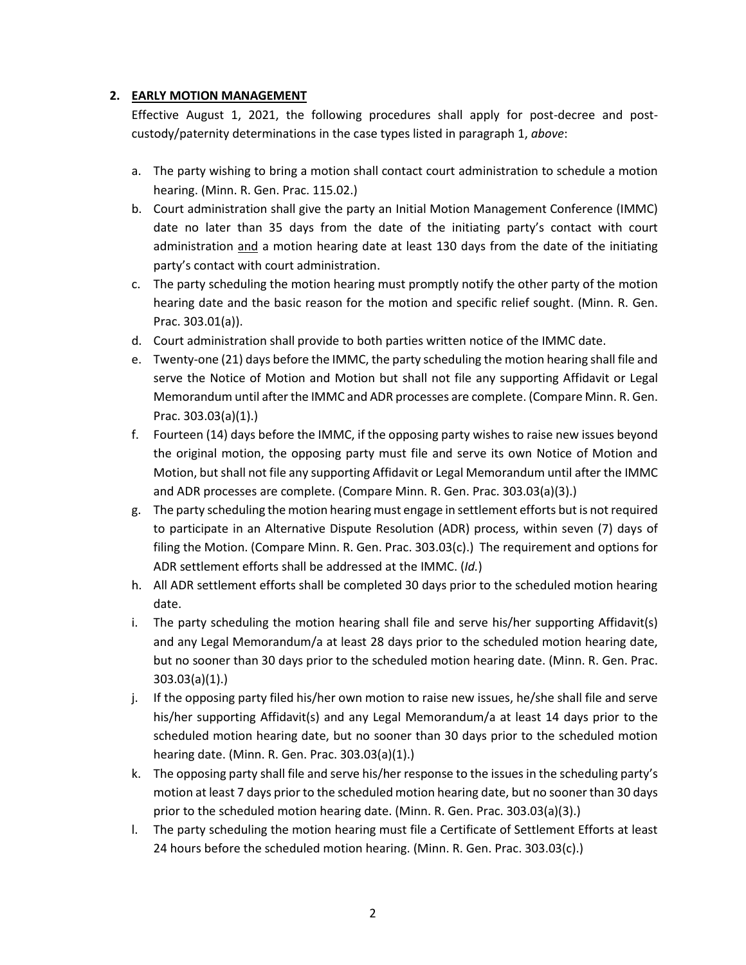## **2. EARLY MOTION MANAGEMENT**

Effective August 1, 2021, the following procedures shall apply for post-decree and postcustody/paternity determinations in the case types listed in paragraph 1, *above*:

- a. The party wishing to bring a motion shall contact court administration to schedule a motion hearing. (Minn. R. Gen. Prac. 115.02.)
- b. Court administration shall give the party an Initial Motion Management Conference (IMMC) date no later than 35 days from the date of the initiating party's contact with court administration and a motion hearing date at least 130 days from the date of the initiating party's contact with court administration.
- c. The party scheduling the motion hearing must promptly notify the other party of the motion hearing date and the basic reason for the motion and specific relief sought. (Minn. R. Gen. Prac. 303.01(a)).
- d. Court administration shall provide to both parties written notice of the IMMC date.
- e. Twenty-one (21) days before the IMMC, the party scheduling the motion hearing shall file and serve the Notice of Motion and Motion but shall not file any supporting Affidavit or Legal Memorandum until after the IMMC and ADR processes are complete. (Compare Minn. R. Gen. Prac. 303.03(a)(1).)
- f. Fourteen (14) days before the IMMC, if the opposing party wishes to raise new issues beyond the original motion, the opposing party must file and serve its own Notice of Motion and Motion, but shall not file any supporting Affidavit or Legal Memorandum until after the IMMC and ADR processes are complete. (Compare Minn. R. Gen. Prac. 303.03(a)(3).)
- g. The party scheduling the motion hearing must engage in settlement efforts but is not required to participate in an Alternative Dispute Resolution (ADR) process, within seven (7) days of filing the Motion. (Compare Minn. R. Gen. Prac. 303.03(c).) The requirement and options for ADR settlement efforts shall be addressed at the IMMC. (*Id.*)
- h. All ADR settlement efforts shall be completed 30 days prior to the scheduled motion hearing date.
- i. The party scheduling the motion hearing shall file and serve his/her supporting Affidavit(s) and any Legal Memorandum/a at least 28 days prior to the scheduled motion hearing date, but no sooner than 30 days prior to the scheduled motion hearing date. (Minn. R. Gen. Prac. 303.03(a)(1).)
- j. If the opposing party filed his/her own motion to raise new issues, he/she shall file and serve his/her supporting Affidavit(s) and any Legal Memorandum/a at least 14 days prior to the scheduled motion hearing date, but no sooner than 30 days prior to the scheduled motion hearing date. (Minn. R. Gen. Prac. 303.03(a)(1).)
- k. The opposing party shall file and serve his/her response to the issues in the scheduling party's motion at least 7 days prior to the scheduled motion hearing date, but no sooner than 30 days prior to the scheduled motion hearing date. (Minn. R. Gen. Prac. 303.03(a)(3).)
- l. The party scheduling the motion hearing must file a Certificate of Settlement Efforts at least 24 hours before the scheduled motion hearing. (Minn. R. Gen. Prac. 303.03(c).)